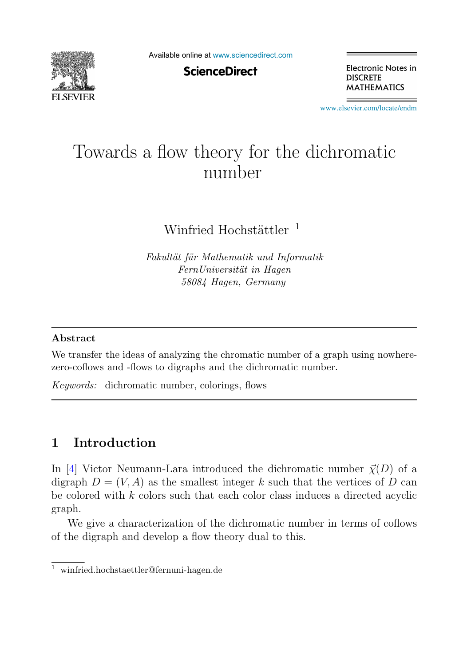

Available online at [www.sciencedirect.com](http://www.sciencedirect.com)

**ScienceDirect** 

Electronic Notes in **DISCRETE MATHEMATICS** 

[www.elsevier.com/locate/endm](http://www.elsevier.com/locate/endm)

# Towards a flow theory for the dichromatic number

Winfried Hochstättler  $<sup>1</sup>$ </sup>

Fakultät für Mathematik und Informatik FernUniversität in Hagen 58084 Hagen, Germany

#### **Abstract**

We transfer the ideas of analyzing the chromatic number of a graph using nowherezero-coflows and -flows to digraphs and the dichromatic number.

Keywords: dichromatic number, colorings, flows

## **1 Introduction**

In [4] Victor Neumann-Lara introduced the dichromatic number  $\vec{\chi}(D)$  of a digraph  $D = (V, A)$  as the smallest integer k such that the vertices of D can be colored with k colors such that each color class induces a directed acyclic graph.

We give a characterization of the dichromatic number in terms of coflows of the digraph and develop a flow theory dual to this.

<sup>1</sup> winfried.hochstaettler@fernuni-hagen.de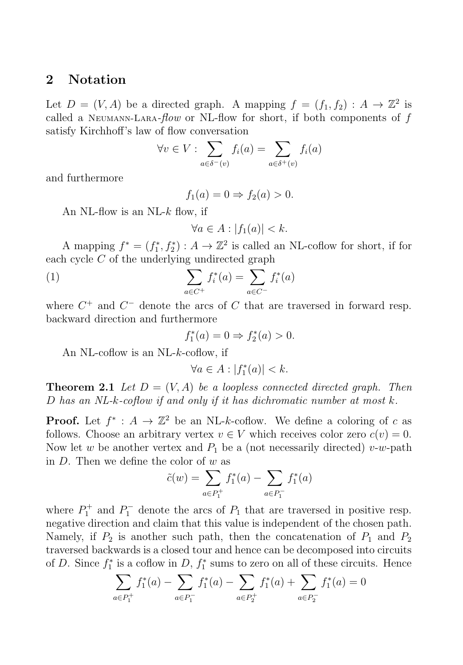#### **2 Notation**

Let  $D = (V, A)$  be a directed graph. A mapping  $f = (f_1, f_2) : A \to \mathbb{Z}^2$  is called a Neumann-Lara- $flow$  or NL-flow for short, if both components of  $f$ satisfy Kirchhoff's law of flow conversation

$$
\forall v \in V : \sum_{a \in \delta^-(v)} f_i(a) = \sum_{a \in \delta^+(v)} f_i(a)
$$

and furthermore

$$
f_1(a) = 0 \Rightarrow f_2(a) > 0.
$$

An NL-flow is an NL- $k$  flow, if

$$
\forall a \in A : |f_1(a)| < k.
$$

A mapping  $f^* = (f_1^*, f_2^*) : A \to \mathbb{Z}^2$  is called an NL-coflow for short, if for each cycle C of the underlying undirected graph

(1) 
$$
\sum_{a \in C^{+}} f_{i}^{*}(a) = \sum_{a \in C^{-}} f_{i}^{*}(a)
$$

where  $C^+$  and  $C^-$  denote the arcs of C that are traversed in forward resp. backward direction and furthermore

$$
f_1^*(a) = 0 \Rightarrow f_2^*(a) > 0.
$$

An NL-coflow is an NL-k-coflow, if

$$
\forall a \in A : |f_1^*(a)| < k.
$$

**Theorem 2.1** Let  $D = (V, A)$  be a loopless connected directed graph. Then D has an NL-k-coflow if and only if it has dichromatic number at most  $k$ .

**Proof.** Let  $f^* : A \to \mathbb{Z}^2$  be an NL-k-coflow. We define a coloring of c as follows. Choose an arbitrary vertex  $v \in V$  which receives color zero  $c(v) = 0$ . Now let w be another vertex and  $P_1$  be a (not necessarily directed) v-w-path in  $D$ . Then we define the color of  $w$  as

$$
\tilde{c}(w) = \sum_{a \in P_1^+} f_1^*(a) - \sum_{a \in P_1^-} f_1^*(a)
$$

where  $P_1^+$  and  $P_1^-$  denote the arcs of  $P_1$  that are traversed in positive resp. negative direction and claim that this value is independent of the chosen path. Namely, if  $P_2$  is another such path, then the concatenation of  $P_1$  and  $P_2$ traversed backwards is a closed tour and hence can be decomposed into circuits of D. Since  $f_1^*$  is a coflow in D,  $f_1^*$  sums to zero on all of these circuits. Hence

$$
\sum_{a \in P_1^+} f_1^*(a) - \sum_{a \in P_1^-} f_1^*(a) - \sum_{a \in P_2^+} f_1^*(a) + \sum_{a \in P_2^-} f_1^*(a) = 0
$$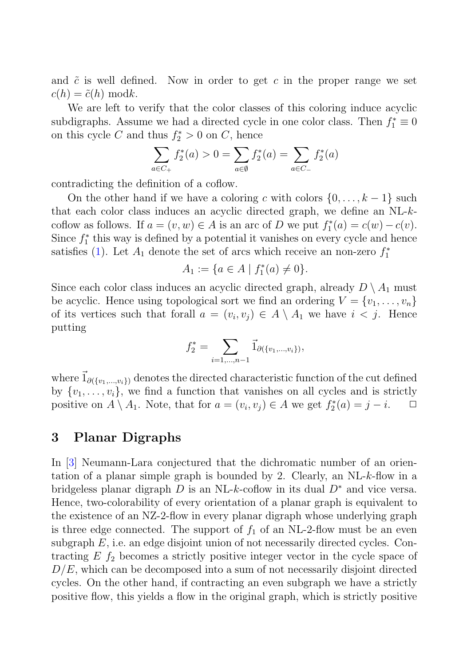and  $\tilde{c}$  is well defined. Now in order to get c in the proper range we set  $c(h)=\tilde{c}(h) \bmod k.$ 

We are left to verify that the color classes of this coloring induce acyclic subdigraphs. Assume we had a directed cycle in one color class. Then  $f_1^* \equiv 0$ on this cycle C and thus  $f_2^* > 0$  on C, hence

$$
\sum_{a \in C_+} f_2^*(a) > 0 = \sum_{a \in \emptyset} f_2^*(a) = \sum_{a \in C_-} f_2^*(a)
$$

contradicting the definition of a coflow.

On the other hand if we have a coloring c with colors  $\{0,\ldots,k-1\}$  such that each color class induces an acyclic directed graph, we define an NL-kcoflow as follows. If  $a = (v, w) \in A$  is an arc of D we put  $f_1^*(a) = c(w) - c(v)$ . Since  $f_1^*$  this way is defined by a potential it vanishes on every cycle and hence satisfies (1). Let  $A_1$  denote the set of arcs which receive an non-zero  $f_1^*$ 

$$
A_1 := \{ a \in A \mid f_1^*(a) \neq 0 \}.
$$

Since each color class induces an acyclic directed graph, already  $D \setminus A_1$  must be acyclic. Hence using topological sort we find an ordering  $V = \{v_1, \ldots, v_n\}$ of its vertices such that forall  $a = (v_i, v_j) \in A \setminus A_1$  we have  $i < j$ . Hence putting

$$
f_2^* = \sum_{i=1,\ldots,n-1} \vec{1}_{\partial (\{v_1,\ldots,v_i\})},
$$

where  $\vec{1}_{\partial(\{v_1,\ldots,v_i\})}$  denotes the directed characteristic function of the cut defined by  $\{v_1,\ldots,v_i\}$ , we find a function that vanishes on all cycles and is strictly positive on  $A \setminus A_1$ . Note, that for  $a = (v_i, v_j) \in A$  we get  $f_2^*(a) = j - i$ .  $\Box$ 

#### **3 Planar Digraphs**

In [3] Neumann-Lara conjectured that the dichromatic number of an orientation of a planar simple graph is bounded by 2. Clearly, an NL-k-flow in a bridgeless planar digraph D is an NL-k-coflow in its dual  $D^*$  and vice versa. Hence, two-colorability of every orientation of a planar graph is equivalent to the existence of an NZ-2-flow in every planar digraph whose underlying graph is three edge connected. The support of  $f_1$  of an NL-2-flow must be an even subgraph  $E$ , i.e. an edge disjoint union of not necessarily directed cycles. Contracting  $E f_2$  becomes a strictly positive integer vector in the cycle space of  $D/E$ , which can be decomposed into a sum of not necessarily disjoint directed cycles. On the other hand, if contracting an even subgraph we have a strictly positive flow, this yields a flow in the original graph, which is strictly positive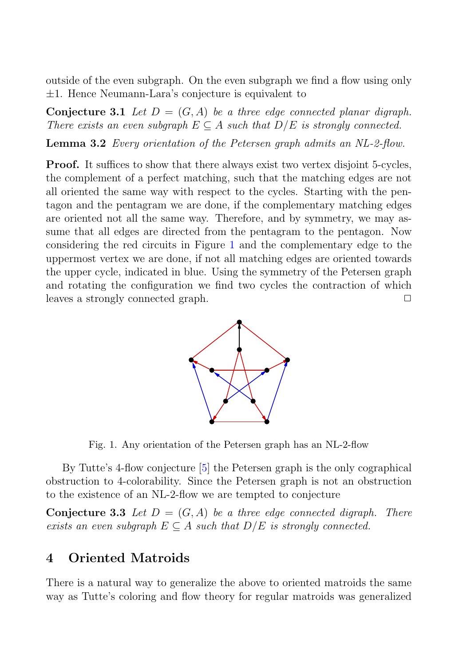outside of the even subgraph. On the even subgraph we find a flow using only ±1. Hence Neumann-Lara's conjecture is equivalent to

**Conjecture 3.1** Let  $D = (G, A)$  be a three edge connected planar digraph. There exists an even subgraph  $E \subseteq A$  such that  $D/E$  is strongly connected.

**Lemma 3.2** Every orientation of the Petersen graph admits an NL-2-flow.

**Proof.** It suffices to show that there always exist two vertex disjoint 5-cycles, the complement of a perfect matching, such that the matching edges are not all oriented the same way with respect to the cycles. Starting with the pentagon and the pentagram we are done, if the complementary matching edges are oriented not all the same way. Therefore, and by symmetry, we may assume that all edges are directed from the pentagram to the pentagon. Now considering the red circuits in Figure 1 and the complementary edge to the uppermost vertex we are done, if not all matching edges are oriented towards the upper cycle, indicated in blue. Using the symmetry of the Petersen graph and rotating the configuration we find two cycles the contraction of which leaves a strongly connected graph. ◯



Fig. 1. Any orientation of the Petersen graph has an NL-2-flow

By Tutte's 4-flow conjecture [5] the Petersen graph is the only cographical obstruction to 4-colorability. Since the Petersen graph is not an obstruction to the existence of an NL-2-flow we are tempted to conjecture

**Conjecture 3.3** Let  $D = (G, A)$  be a three edge connected digraph. There exists an even subgraph  $E \subseteq A$  such that  $D/E$  is strongly connected.

#### **4 Oriented Matroids**

There is a natural way to generalize the above to oriented matroids the same way as Tutte's coloring and flow theory for regular matroids was generalized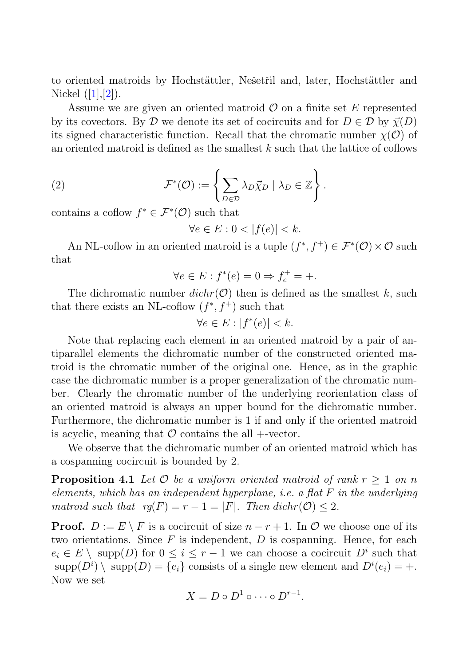to oriented matroids by Hochstättler, Nešetřil and, later, Hochstättler and Nickel  $([1],[2])$ .

Assume we are given an oriented matroid  $\mathcal O$  on a finite set E represented by its covectors. By D we denote its set of cocircuits and for  $D \in \mathcal{D}$  by  $\vec{\chi}(D)$ its signed characteristic function. Recall that the chromatic number  $\chi(\mathcal{O})$  of an oriented matroid is defined as the smallest  $k$  such that the lattice of coflows

(2) 
$$
\mathcal{F}^*(\mathcal{O}) := \left\{ \sum_{D \in \mathcal{D}} \lambda_D \vec{\chi}_D \mid \lambda_D \in \mathbb{Z} \right\}.
$$

contains a coflow  $f^* \in \mathcal{F}^*(\mathcal{O})$  such that

 $\forall e \in E : 0 < |f(e)| < k.$ 

An NL-coflow in an oriented matroid is a tuple  $(f^*, f^+) \in \mathcal{F}^*(\mathcal{O}) \times \mathcal{O}$  such that

$$
\forall e \in E : f^*(e) = 0 \Rightarrow f_e^+ = +.
$$

The dichromatic number  $dichr(\mathcal{O})$  then is defined as the smallest k, such that there exists an NL-coflow  $(f^*, f^+)$  such that

$$
\forall e \in E : |f^*(e)| < k.
$$

Note that replacing each element in an oriented matroid by a pair of antiparallel elements the dichromatic number of the constructed oriented matroid is the chromatic number of the original one. Hence, as in the graphic case the dichromatic number is a proper generalization of the chromatic number. Clearly the chromatic number of the underlying reorientation class of an oriented matroid is always an upper bound for the dichromatic number. Furthermore, the dichromatic number is 1 if and only if the oriented matroid is acyclic, meaning that  $\mathcal O$  contains the all +-vector.

We observe that the dichromatic number of an oriented matroid which has a cospanning cocircuit is bounded by 2.

**Proposition 4.1** Let  $\mathcal O$  be a uniform oriented matroid of rank  $r \geq 1$  on n elements, which has an independent hyperplane, i.e. a flat  $F$  in the underlying matroid such that  $rq(F) = r - 1 = |F|$ . Then  $dichr(\mathcal{O}) \leq 2$ .

**Proof.**  $D := E \setminus F$  is a cocircuit of size  $n - r + 1$ . In  $\mathcal{O}$  we choose one of its two orientations. Since  $F$  is independent,  $D$  is cospanning. Hence, for each  $e_i \in E \setminus \text{supp}(D)$  for  $0 \leq i \leq r-1$  we can choose a cocircuit  $D^i$  such that  $\text{supp}(D^i) \setminus \text{supp}(D) = \{e_i\}$  consists of a single new element and  $D^i(e_i) = +$ . Now we set

$$
X=D\circ D^1\circ\cdots\circ D^{r-1}.
$$